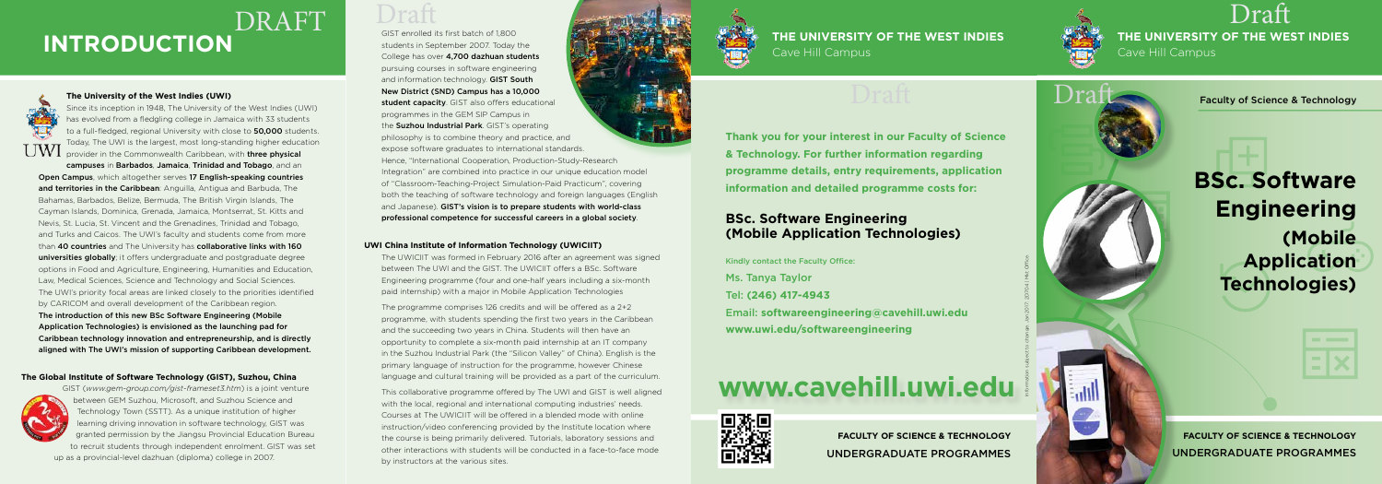Faculty of Science & Technology

**THE UNIVERSITY OF THE WEST INDIES** Cave Hill Campus Draft

# **BSc. Software Engineering (Mobile Application Technologies)**



**FACULTY OF SCIENCE & TECHNOLOGY** UNDERGRADUATE PROGRAMMES

**Thank you for your interest in our Faculty of Science & Technology. For further information regarding programme details, entry requirements, application information and detailed programme costs for:**

Since its inception in 1948, The University of the West Indies (UWI) has evolved from a fledgling college in Jamaica with 33 students to a full-fledged, regional University with close to 50,000 students. Today, The UWI is the largest, most long-standing higher education UWI provider in the Commonwealth Caribbean, with **three physical** 

# **BSc. Software Engineering (Mobile Application Technologies)**

Kindly contact the Faculty Office: Ms. Tanya Taylor Tel: **(246) 417-4943** Email: **softwareengineering@cavehill.uwi.edu www.uwi.edu/softwareengineering**

> **FACULTY OF SCIENCE & TECHNOLOGY** UNDERGRADUATE PROGRAMMES



# **www.cavehill.uwi.edu**



# **THE UNIVERSITY OF THE WEST INDIES**



# **INTRODUCTION** Students in September 2007. Today the **Cave Respublication of Alternation** Cave Hill Campus DRAFT Draft

### **The University of the West Indies (UWI)**

campuses in Barbados, Jamaica, Trinidad and Tobago, and an Open Campus, which altogether serves 17 English-speaking countries and territories in the Caribbean: Anguilla, Antigua and Barbuda, The Bahamas, Barbados, Belize, Bermuda, The British Virgin Islands, The Cayman Islands, Dominica, Grenada, Jamaica, Montserrat, St. Kitts and Nevis, St. Lucia, St. Vincent and the Grenadines, Trinidad and Tobago, and Turks and Caicos. The UWI's faculty and students come from more than 40 countries and The University has collaborative links with 160 universities globally; it offers undergraduate and postgraduate degree options in Food and Agriculture, Engineering, Humanities and Education, Law, Medical Sciences, Science and Technology and Social Sciences. The UWI's priority focal areas are linked closely to the priorities identified by CARICOM and overall development of the Caribbean region.

The introduction of this new BSc Software Engineering (Mobile Application Technologies) is envisioned as the launching pad for Caribbean technology innovation and entrepreneurship, and is directly aligned with The UWI's mission of supporting Caribbean development.

## **The Global Institute of Software Technology (GIST), Suzhou, China**



GIST (*www.gem-group.com/gist-frameset3.htm*) is a joint venture between GEM Suzhou, Microsoft, and Suzhou Science and Technology Town (SSTT). As a unique institution of higher learning driving innovation in software technology, GIST was granted permission by the Jiangsu Provincial Education Bureau to recruit students through independent enrolment. GIST was set up as a provincial-level dazhuan (diploma) college in 2007.



GIST enrolled its first batch of 1,800 students in September 2007. Today the College has over 4,700 dazhuan students pursuing courses in software engineering and information technology. GIST South New District (SND) Campus has a 10,000 student capacity. GIST also offers educational programmes in the GEM SIP Campus in the **Suzhou Industrial Park**. GIST's operating philosophy is to combine theory and practice, and expose software graduates to international standards. Hence, "International Cooperation, Production-Study-Research

Integration" are combined into practice in our unique education model of "Classroom-Teaching-Project Simulation-Paid Practicum", covering both the teaching of software technology and foreign languages (English and Japanese). GIST's vision is to prepare students with world-class professional competence for successful careers in a global society.

### **UWI China Institute of Information Technology (UWICIIT)**

The UWICIIT was formed in February 2016 after an agreement was signed between The UWI and the GIST. The UWICIIT offers a BSc. Software Engineering programme (four and one-half years including a six-month paid internship) with a major in Mobile Application Technologies

The programme comprises 126 credits and will be offered as a 2+2 programme, with students spending the first two years in the Caribbean and the succeeding two years in China. Students will then have an opportunity to complete a six-month paid internship at an IT company in the Suzhou Industrial Park (the "Silicon Valley" of China). English is the primary language of instruction for the programme, however Chinese language and cultural training will be provided as a part of the curriculum.

This collaborative programme offered by The UWI and GIST is well aligned with the local, regional and international computing industries' needs. Courses at The UWICIIT will be offered in a blended mode with online instruction/video conferencing provided by the Institute location where the course is being primarily delivered. Tutorials, laboratory sessions and other interactions with students will be conducted in a face-to-face mode by instructors at the various sites.